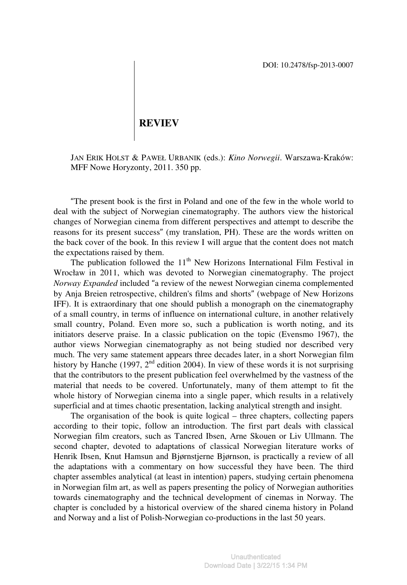## **REVIEV**

JAN ERIK HOLST & PAWEŁ URBANIK (eds.): *Kino Norwegii*. Warszawa-Kraków: MFF Nowe Horyzonty, 2011. 350 pp.

"The present book is the first in Poland and one of the few in the whole world to deal with the subject of Norwegian cinematography. The authors view the historical changes of Norwegian cinema from different perspectives and attempt to describe the reasons for its present success" (my translation, PH). These are the words written on the back cover of the book. In this review I will argue that the content does not match the expectations raised by them.

The publication followed the  $11<sup>th</sup>$  New Horizons International Film Festival in Wrocław in 2011, which was devoted to Norwegian cinematography. The project *Norway Expanded* included "a review of the newest Norwegian cinema complemented by Anja Breien retrospective, children's films and shorts" (webpage of New Horizons IFF). It is extraordinary that one should publish a monograph on the cinematography of a small country, in terms of influence on international culture, in another relatively small country, Poland. Even more so, such a publication is worth noting, and its initiators deserve praise. In a classic publication on the topic (Evensmo 1967), the author views Norwegian cinematography as not being studied nor described very much. The very same statement appears three decades later, in a short Norwegian film history by Hanche (1997,  $2<sup>nd</sup>$  edition 2004). In view of these words it is not surprising that the contributors to the present publication feel overwhelmed by the vastness of the material that needs to be covered. Unfortunately, many of them attempt to fit the whole history of Norwegian cinema into a single paper, which results in a relatively superficial and at times chaotic presentation, lacking analytical strength and insight.

The organisation of the book is quite logical – three chapters, collecting papers according to their topic, follow an introduction. The first part deals with classical Norwegian film creators, such as Tancred Ibsen, Arne Skouen or Liv Ullmann. The second chapter, devoted to adaptations of classical Norwegian literature works of Henrik Ibsen, Knut Hamsun and Bjørnstjerne Bjørnson, is practically a review of all the adaptations with a commentary on how successful they have been. The third chapter assembles analytical (at least in intention) papers, studying certain phenomena in Norwegian film art, as well as papers presenting the policy of Norwegian authorities towards cinematography and the technical development of cinemas in Norway. The chapter is concluded by a historical overview of the shared cinema history in Poland and Norway and a list of Polish-Norwegian co-productions in the last 50 years.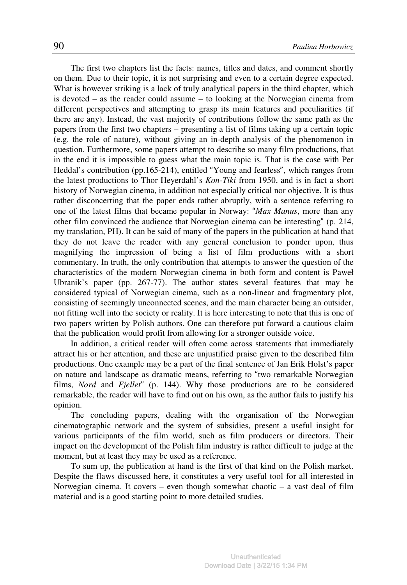The first two chapters list the facts: names, titles and dates, and comment shortly on them. Due to their topic, it is not surprising and even to a certain degree expected. What is however striking is a lack of truly analytical papers in the third chapter, which is devoted – as the reader could assume – to looking at the Norwegian cinema from different perspectives and attempting to grasp its main features and peculiarities (if there are any). Instead, the vast majority of contributions follow the same path as the papers from the first two chapters – presenting a list of films taking up a certain topic (e.g. the role of nature), without giving an in-depth analysis of the phenomenon in question. Furthermore, some papers attempt to describe so many film productions, that in the end it is impossible to guess what the main topic is. That is the case with Per Heddal's contribution (pp.165-214), entitled "Young and fearless", which ranges from the latest productions to Thor Heyerdahl's *Kon-Tiki* from 1950, and is in fact a short history of Norwegian cinema, in addition not especially critical nor objective. It is thus rather disconcerting that the paper ends rather abruptly, with a sentence referring to one of the latest films that became popular in Norway: "*Max Manus*, more than any other film convinced the audience that Norwegian cinema can be interesting" (p. 214, my translation, PH). It can be said of many of the papers in the publication at hand that they do not leave the reader with any general conclusion to ponder upon, thus magnifying the impression of being a list of film productions with a short commentary. In truth, the only contribution that attempts to answer the question of the characteristics of the modern Norwegian cinema in both form and content is Paweł Ubranik's paper (pp. 267-77). The author states several features that may be considered typical of Norwegian cinema, such as a non-linear and fragmentary plot, consisting of seemingly unconnected scenes, and the main character being an outsider, not fitting well into the society or reality. It is here interesting to note that this is one of two papers written by Polish authors. One can therefore put forward a cautious claim that the publication would profit from allowing for a stronger outside voice.

In addition, a critical reader will often come across statements that immediately attract his or her attention, and these are unjustified praise given to the described film productions. One example may be a part of the final sentence of Jan Erik Holst's paper on nature and landscape as dramatic means, referring to "two remarkable Norwegian films, *Nord* and *Fjellet*" (p. 144). Why those productions are to be considered remarkable, the reader will have to find out on his own, as the author fails to justify his opinion.

The concluding papers, dealing with the organisation of the Norwegian cinematographic network and the system of subsidies, present a useful insight for various participants of the film world, such as film producers or directors. Their impact on the development of the Polish film industry is rather difficult to judge at the moment, but at least they may be used as a reference.

To sum up, the publication at hand is the first of that kind on the Polish market. Despite the flaws discussed here, it constitutes a very useful tool for all interested in Norwegian cinema. It covers – even though somewhat chaotic – a vast deal of film material and is a good starting point to more detailed studies.